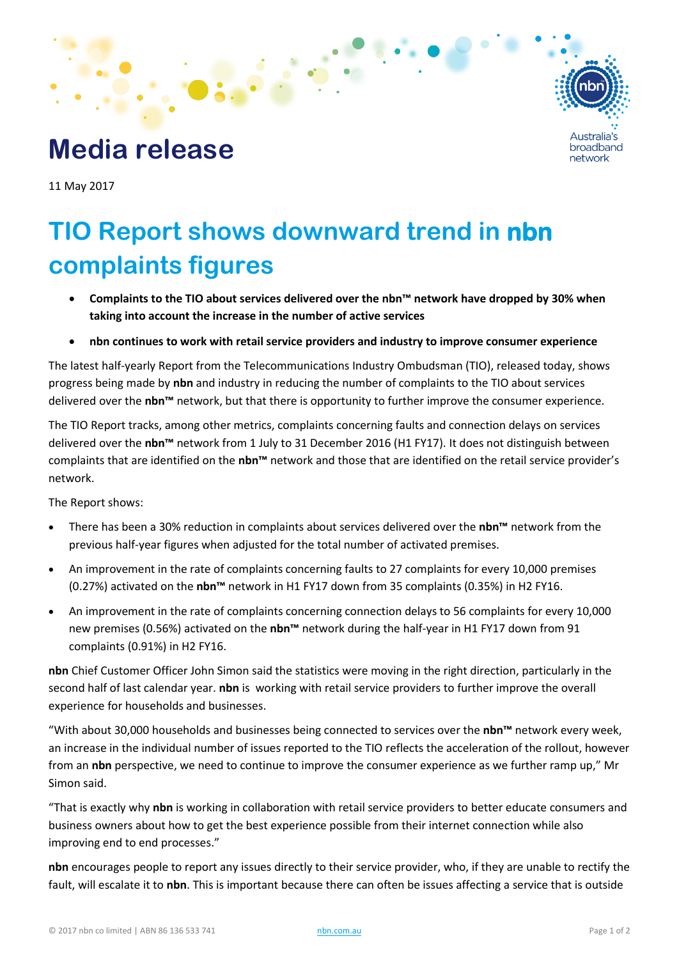

## **Media release**

11 May 2017

## **TIO Report shows downward trend in nbn complaints figures**

- **Complaints to the TIO about services delivered over the nbn™ network have dropped by 30% when taking into account the increase in the number of active services**
- **nbn continues to work with retail service providers and industry to improve consumer experience**

The latest half-yearly Report from the Telecommunications Industry Ombudsman (TIO), released today, shows progress being made by **nbn** and industry in reducing the number of complaints to the TIO about services delivered over the **nbn™** network, but that there is opportunity to further improve the consumer experience.

The TIO Report tracks, among other metrics, complaints concerning faults and connection delays on services delivered over the **nbn™** network from 1 July to 31 December 2016 (H1 FY17). It does not distinguish between complaints that are identified on the **nbn™** network and those that are identified on the retail service provider's network.

The Report shows:

- There has been a 30% reduction in complaints about services delivered over the **nbn™** network from the previous half-year figures when adjusted for the total number of activated premises.
- An improvement in the rate of complaints concerning faults to 27 complaints for every 10,000 premises (0.27%) activated on the **nbn™** network in H1 FY17 down from 35 complaints (0.35%) in H2 FY16.
- An improvement in the rate of complaints concerning connection delays to 56 complaints for every 10,000 new premises (0.56%) activated on the **nbn™** network during the half-year in H1 FY17 down from 91 complaints (0.91%) in H2 FY16.

**nbn** Chief Customer Officer John Simon said the statistics were moving in the right direction, particularly in the second half of last calendar year. **nbn** is working with retail service providers to further improve the overall experience for households and businesses.

"With about 30,000 households and businesses being connected to services over the **nbn™** network every week, an increase in the individual number of issues reported to the TIO reflects the acceleration of the rollout, however from an **nbn** perspective, we need to continue to improve the consumer experience as we further ramp up," Mr Simon said.

"That is exactly why **nbn** is working in collaboration with retail service providers to better educate consumers and business owners about how to get the best experience possible from their internet connection while also improving end to end processes."

**nbn** encourages people to report any issues directly to their service provider, who, if they are unable to rectify the fault, will escalate it to **nbn**. This is important because there can often be issues affecting a service that is outside